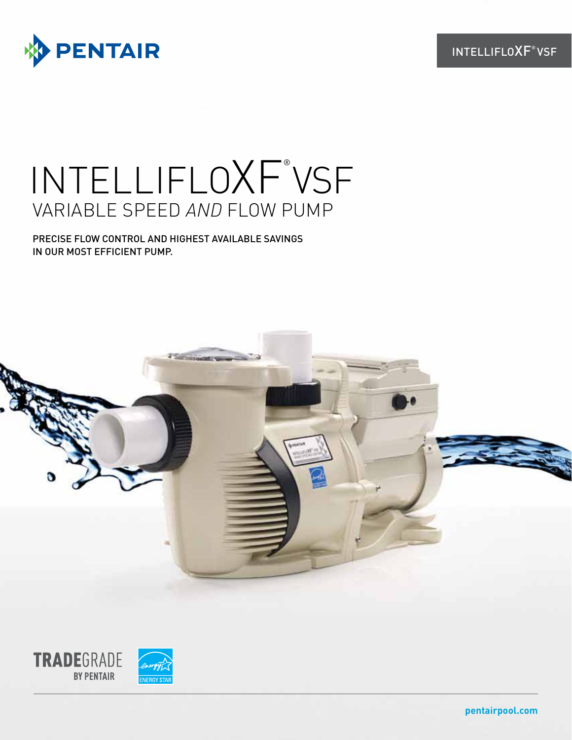

# INTELLIFLOXF® VSF VARIABLE SPEED *AND* FLOW PUMP

PRECISE FLOW CONTROL AND HIGHEST AVAILABLE SAVINGS IN OUR MOST EFFICIENT PUMP.



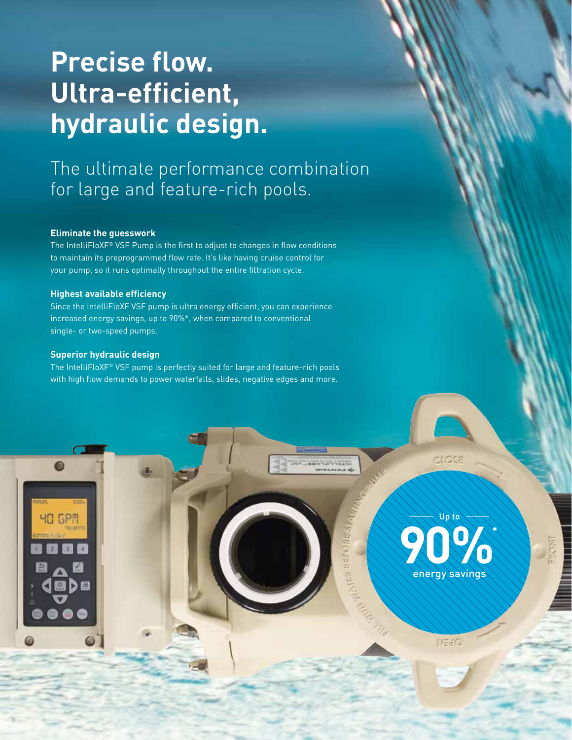# **Precise flow. Ultra-efficient, hydraulic design.**

# The ultimate performance combination for large and feature-rich pools.

## **Eliminate the guesswork**

The IntelliFloXF® VSF Pump is the first to adjust to changes in flow conditions to maintain its preprogrammed flow rate. It's like having cruise control for your pump, so it runs optimally throughout the entire filtration cycle.

## **Highest available efficiency**

Since the IntelliFloXF VSF pump is ultra energy efficient, you can experience increased energy savings, up to 90%\*, when compared to conventional single- or two-speed pumps.

### **Superior hydraulic design**

The IntelliFloXF® VSF pump is perfectly suited for large and feature-rich pools with high flow demands to power waterfalls, slides, negative edges and more.

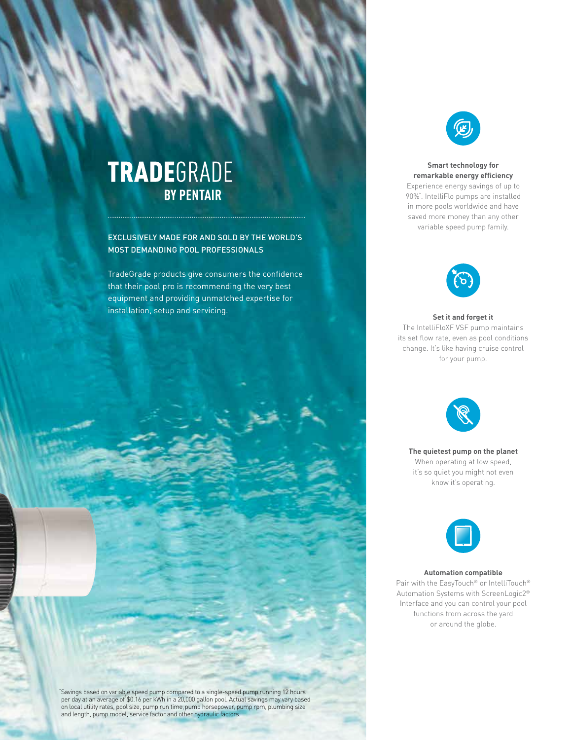# **TRADE**GRADE **BY PENTAIR**

EXCLUSIVELY MADE FOR AND SOLD BY THE WORLD'S MOST DEMANDING POOL PROFESSIONALS

TradeGrade products give consumers the confidence that their pool pro is recommending the very best equipment and providing unmatched expertise for installation, setup and servicing.



#### **Smart technology for remarkable energy efficiency**

Experience energy savings of up to 90%\* . IntelliFlo pumps are installed in more pools worldwide and have saved more money than any other variable speed pump family.



## **Set it and forget it**

The IntelliFloXF VSF pump maintains its set flow rate, even as pool conditions change. It's like having cruise control for your pump.



**The quietest pump on the planet** When operating at low speed, it's so quiet you might not even know it's operating.



#### **Automation compatible**

Pair with the EasyTouch® or IntelliTouch® Automation Systems with ScreenLogic2® Interface and you can control your pool functions from across the yard or around the globe.

'Savings based on variable speed pump compared to a single-speed pump running 12 hours<br>per day at an average of \$0.16 per kWh in a 20,000 gallon pool. Actual savings may vary based<br>on local utility rates, pool size, pump r